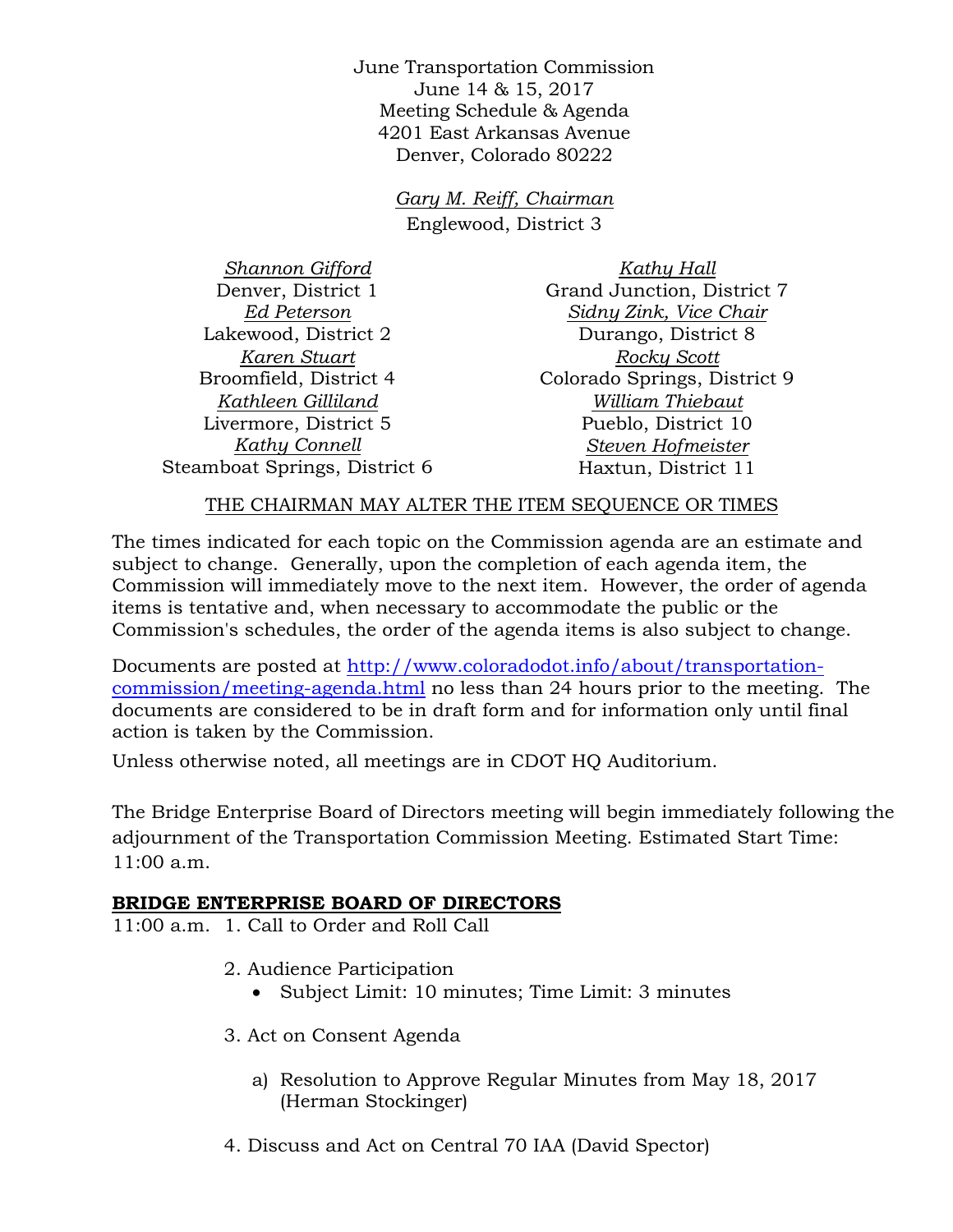June Transportation Commission June 14 & 15, 2017 Meeting Schedule & Agenda 4201 East Arkansas Avenue Denver, Colorado 80222

> *Gary M. Reiff, Chairman* Englewood, District 3

*Shannon Gifford* Denver, District 1 *Ed Peterson* Lakewood, District 2 *Karen Stuart* Broomfield, District 4 *Kathleen Gilliland* Livermore, District 5 *Kathy Connell* Steamboat Springs, District 6

*Kathy Hall* Grand Junction, District 7 *Sidny Zink, Vice Chair* Durango, District 8 *Rocky Scott* Colorado Springs, District 9 *William Thiebaut* Pueblo, District 10 *Steven Hofmeister* Haxtun, District 11

## THE CHAIRMAN MAY ALTER THE ITEM SEQUENCE OR TIMES

The times indicated for each topic on the Commission agenda are an estimate and subject to change. Generally, upon the completion of each agenda item, the Commission will immediately move to the next item. However, the order of agenda items is tentative and, when necessary to accommodate the public or the Commission's schedules, the order of the agenda items is also subject to change.

Documents are posted at http://www.coloradodot.info/about/transportationcommission/meeting-agenda.html no less than 24 hours prior to the meeting. The documents are considered to be in draft form and for information only until final action is taken by the Commission.

Unless otherwise noted, all meetings are in CDOT HQ Auditorium.

The Bridge Enterprise Board of Directors meeting will begin immediately following the adjournment of the Transportation Commission Meeting. Estimated Start Time: 11:00 a.m.

## **BRIDGE ENTERPRISE BOARD OF DIRECTORS**

11:00 a.m. 1. Call to Order and Roll Call

- 2. Audience Participation
	- Subject Limit: 10 minutes; Time Limit: 3 minutes
- 3. Act on Consent Agenda
	- a) Resolution to Approve Regular Minutes from May 18, 2017 (Herman Stockinger)
- 4. Discuss and Act on Central 70 IAA (David Spector)